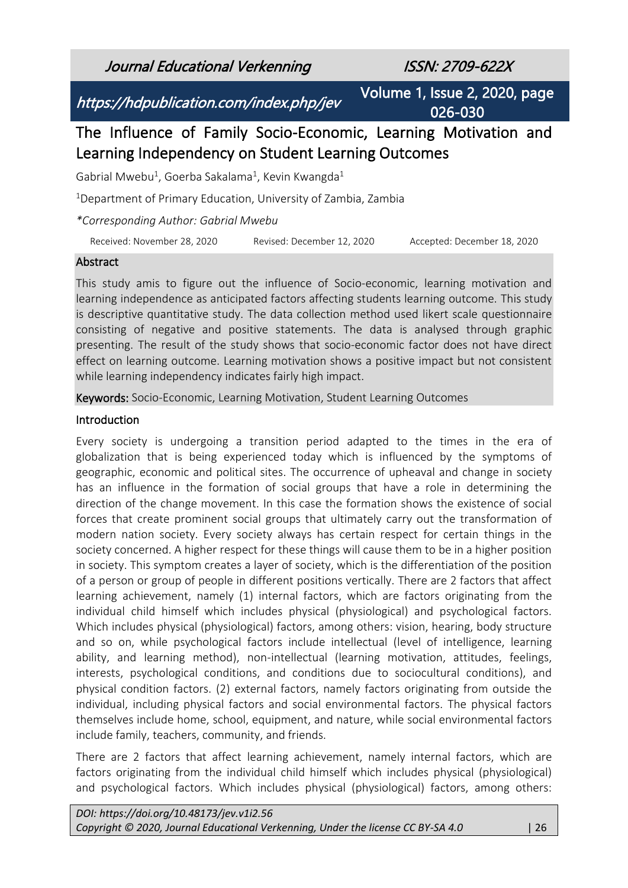Journal Educational Verkenning ISSN: 2709-622X

https://hdpublication.com/index.php/jev Volume 1, Issue 2, 2020, page

026-030

# The Influence of Family Socio-Economic, Learning Motivation and Learning Independency on Student Learning Outcomes

Gabrial Mwebu<sup>1</sup>, Goerba Sakalama<sup>1</sup>, Kevin Kwangda<sup>1</sup>

<sup>1</sup>Department of Primary Education, University of Zambia, Zambia

*\*Corresponding Author: Gabrial Mwebu*

Received: November 28, 2020 Revised: December 12, 2020 Accepted: December 18, 2020

# Abstract

This study amis to figure out the influence of Socio-economic, learning motivation and learning independence as anticipated factors affecting students learning outcome. This study is descriptive quantitative study. The data collection method used likert scale questionnaire consisting of negative and positive statements. The data is analysed through graphic presenting. The result of the study shows that socio-economic factor does not have direct effect on learning outcome. Learning motivation shows a positive impact but not consistent while learning independency indicates fairly high impact.

Keywords: Socio-Economic, Learning Motivation, Student Learning Outcomes

# Introduction

Every society is undergoing a transition period adapted to the times in the era of globalization that is being experienced today which is influenced by the symptoms of geographic, economic and political sites. The occurrence of upheaval and change in society has an influence in the formation of social groups that have a role in determining the direction of the change movement. In this case the formation shows the existence of social forces that create prominent social groups that ultimately carry out the transformation of modern nation society. Every society always has certain respect for certain things in the society concerned. A higher respect for these things will cause them to be in a higher position in society. This symptom creates a layer of society, which is the differentiation of the position of a person or group of people in different positions vertically. There are 2 factors that affect learning achievement, namely (1) internal factors, which are factors originating from the individual child himself which includes physical (physiological) and psychological factors. Which includes physical (physiological) factors, among others: vision, hearing, body structure and so on, while psychological factors include intellectual (level of intelligence, learning ability, and learning method), non-intellectual (learning motivation, attitudes, feelings, interests, psychological conditions, and conditions due to sociocultural conditions), and physical condition factors. (2) external factors, namely factors originating from outside the individual, including physical factors and social environmental factors. The physical factors themselves include home, school, equipment, and nature, while social environmental factors include family, teachers, community, and friends.

There are 2 factors that affect learning achievement, namely internal factors, which are factors originating from the individual child himself which includes physical (physiological) and psychological factors. Which includes physical (physiological) factors, among others: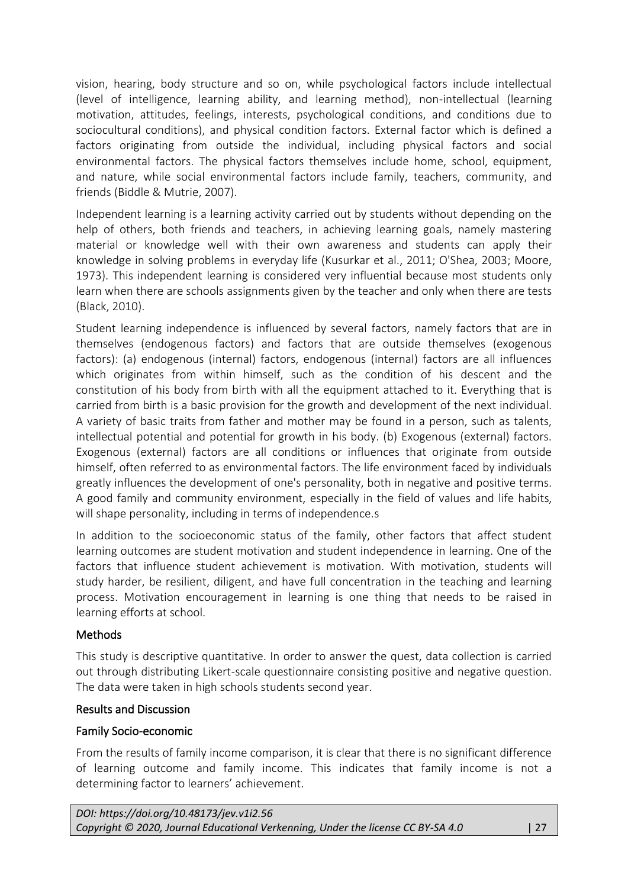vision, hearing, body structure and so on, while psychological factors include intellectual (level of intelligence, learning ability, and learning method), non-intellectual (learning motivation, attitudes, feelings, interests, psychological conditions, and conditions due to sociocultural conditions), and physical condition factors. External factor which is defined a factors originating from outside the individual, including physical factors and social environmental factors. The physical factors themselves include home, school, equipment, and nature, while social environmental factors include family, teachers, community, and friends (Biddle & Mutrie, 2007).

Independent learning is a learning activity carried out by students without depending on the help of others, both friends and teachers, in achieving learning goals, namely mastering material or knowledge well with their own awareness and students can apply their knowledge in solving problems in everyday life (Kusurkar et al., 2011; O'Shea, 2003; Moore, 1973). This independent learning is considered very influential because most students only learn when there are schools assignments given by the teacher and only when there are tests (Black, 2010).

Student learning independence is influenced by several factors, namely factors that are in themselves (endogenous factors) and factors that are outside themselves (exogenous factors): (a) endogenous (internal) factors, endogenous (internal) factors are all influences which originates from within himself, such as the condition of his descent and the constitution of his body from birth with all the equipment attached to it. Everything that is carried from birth is a basic provision for the growth and development of the next individual. A variety of basic traits from father and mother may be found in a person, such as talents, intellectual potential and potential for growth in his body. (b) Exogenous (external) factors. Exogenous (external) factors are all conditions or influences that originate from outside himself, often referred to as environmental factors. The life environment faced by individuals greatly influences the development of one's personality, both in negative and positive terms. A good family and community environment, especially in the field of values and life habits, will shape personality, including in terms of independence.s

In addition to the socioeconomic status of the family, other factors that affect student learning outcomes are student motivation and student independence in learning. One of the factors that influence student achievement is motivation. With motivation, students will study harder, be resilient, diligent, and have full concentration in the teaching and learning process. Motivation encouragement in learning is one thing that needs to be raised in learning efforts at school.

# Methods

This study is descriptive quantitative. In order to answer the quest, data collection is carried out through distributing Likert-scale questionnaire consisting positive and negative question. The data were taken in high schools students second year.

#### Results and Discussion

#### Family Socio-economic

From the results of family income comparison, it is clear that there is no significant difference of learning outcome and family income. This indicates that family income is not a determining factor to learners' achievement.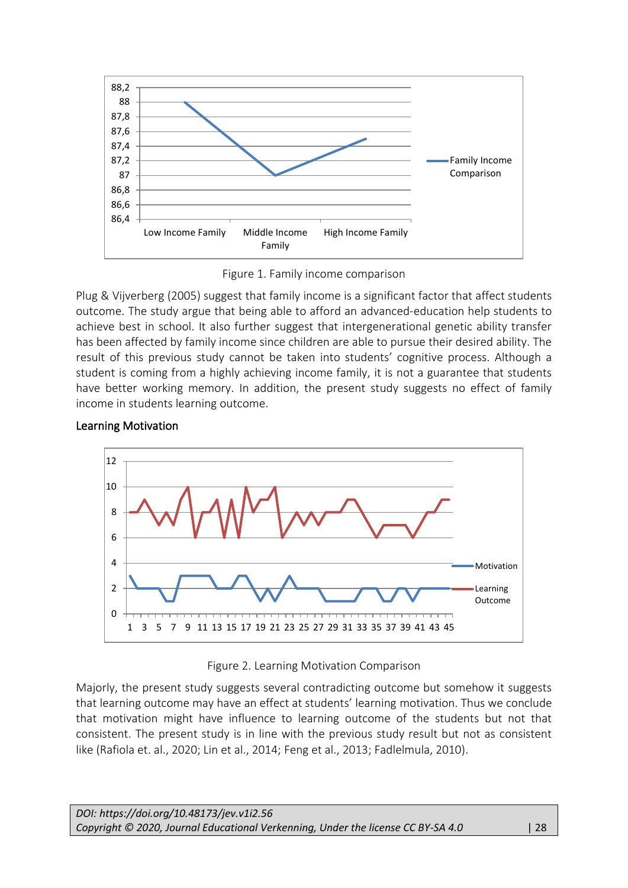

Figure 1. Family income comparison

Plug & Vijverberg (2005) suggest that family income is a significant factor that affect students outcome. The study argue that being able to afford an advanced-education help students to achieve best in school. It also further suggest that intergenerational genetic ability transfer has been affected by family income since children are able to pursue their desired ability. The result of this previous study cannot be taken into students' cognitive process. Although a student is coming from a highly achieving income family, it is not a guarantee that students have better working memory. In addition, the present study suggests no effect of family income in students learning outcome.

#### Learning Motivation



#### Figure 2. Learning Motivation Comparison

Majorly, the present study suggests several contradicting outcome but somehow it suggests that learning outcome may have an effect at students' learning motivation. Thus we conclude that motivation might have influence to learning outcome of the students but not that consistent. The present study is in line with the previous study result but not as consistent like (Rafiola et. al., 2020; Lin et al., 2014; Feng et al., 2013; Fadlelmula, 2010).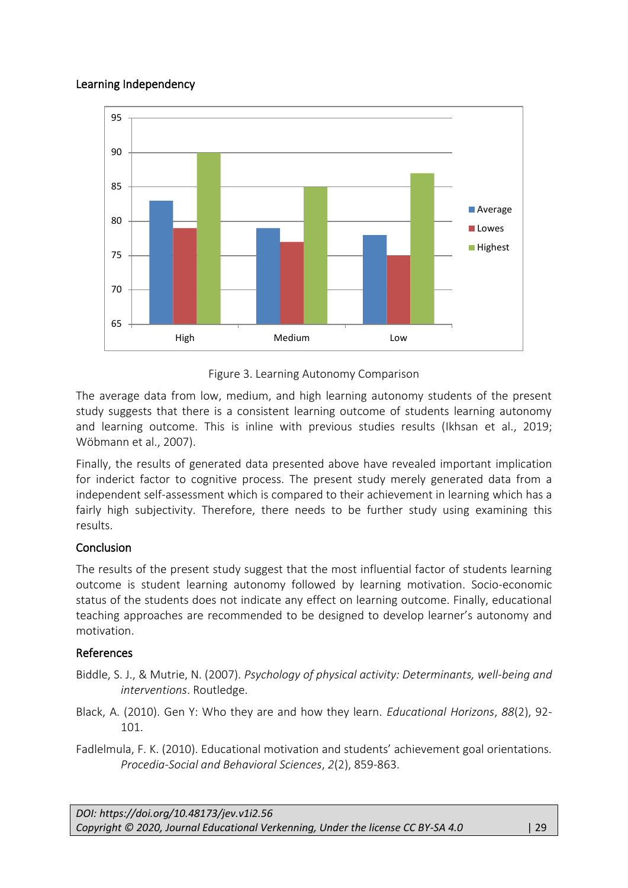### Learning Independency



Figure 3. Learning Autonomy Comparison

The average data from low, medium, and high learning autonomy students of the present study suggests that there is a consistent learning outcome of students learning autonomy and learning outcome. This is inline with previous studies results (Ikhsan et al., 2019; Wöbmann et al., 2007).

Finally, the results of generated data presented above have revealed important implication for inderict factor to cognitive process. The present study merely generated data from a independent self-assessment which is compared to their achievement in learning which has a fairly high subjectivity. Therefore, there needs to be further study using examining this results.

# **Conclusion**

The results of the present study suggest that the most influential factor of students learning outcome is student learning autonomy followed by learning motivation. Socio-economic status of the students does not indicate any effect on learning outcome. Finally, educational teaching approaches are recommended to be designed to develop learner's autonomy and motivation.

# References

- Biddle, S. J., & Mutrie, N. (2007). *Psychology of physical activity: Determinants, well-being and interventions*. Routledge.
- Black, A. (2010). Gen Y: Who they are and how they learn. *Educational Horizons*, *88*(2), 92- 101.
- Fadlelmula, F. K. (2010). Educational motivation and students' achievement goal orientations. *Procedia-Social and Behavioral Sciences*, *2*(2), 859-863.